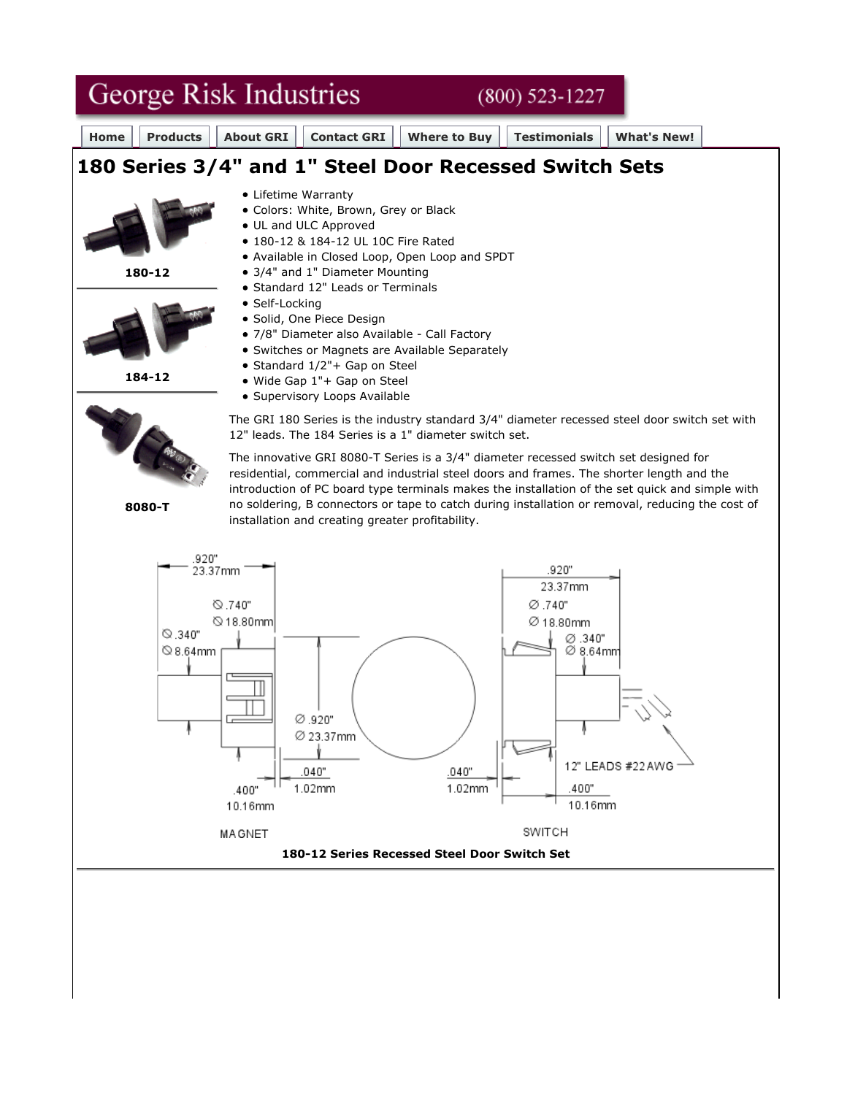

**180-12 Series Recessed Steel Door Switch Set**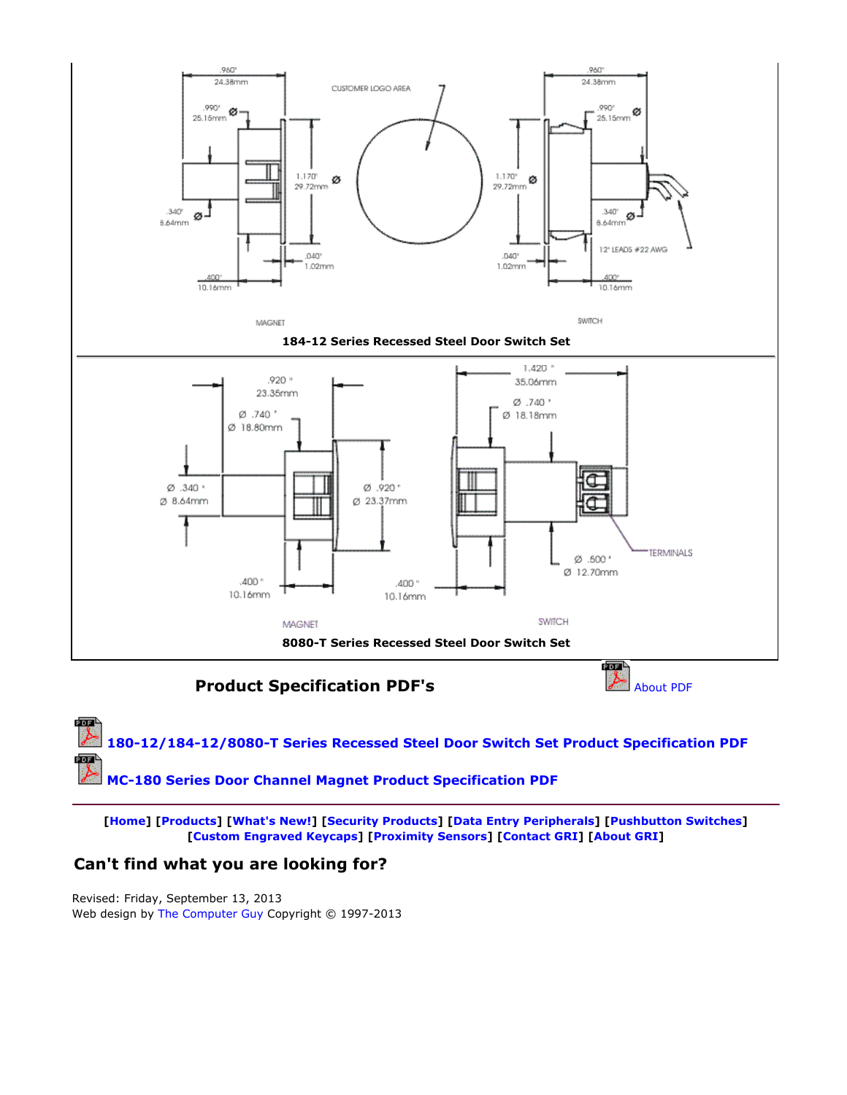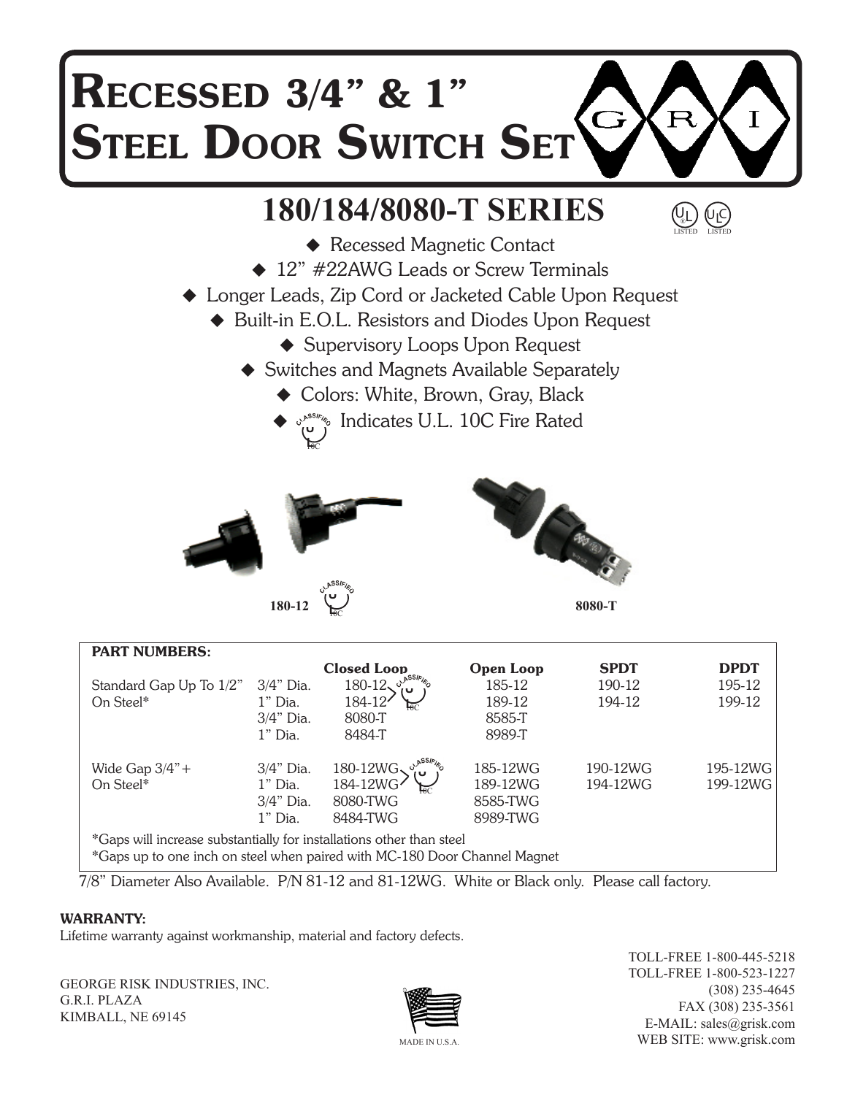## RECESSED 3/4" & 1"  $\overline{\mathbf{R}}$ T Steel Door Switch Set

## **180/184/8080-T SERIES**



- ◆ Recessed Magnetic Contact ◆ 12" #22AWG Leads or Screw Terminals
- Longer Leads, Zip Cord or Jacketed Cable Upon Request
	- ◆ Built-in E.O.L. Resistors and Diodes Upon Request
		- ◆ Supervisory Loops Upon Request
		- ◆ Switches and Magnets Available Separately
			- ◆ Colors: White, Brown, Gray, Black
			- ◆  $\circ$ <sup>,sss<sub>k</sub>, Indicates U.L. 10C Fire Rated</sup> **মি**





**8080-T**

| <b>PART NUMBERS:</b>                                                      |              |                    |                  |             |             |  |  |  |  |
|---------------------------------------------------------------------------|--------------|--------------------|------------------|-------------|-------------|--|--|--|--|
|                                                                           |              | <b>Closed Loop</b> | <b>Open Loop</b> | <b>SPDT</b> | <b>DPDT</b> |  |  |  |  |
| Standard Gap Up To 1/2"                                                   | $3/4$ " Dia. | $180 - 12$<br>ט ו  | 185-12           | 190-12      | 195-12      |  |  |  |  |
| On Steel*                                                                 | $1"$ Dia.    | 184-12             | 189-12           | 194-12      | 199-12      |  |  |  |  |
|                                                                           | $3/4$ " Dia. | 8080-T             | 8585-T           |             |             |  |  |  |  |
|                                                                           | $1"$ Dia.    | 8484-T             | 8989-T           |             |             |  |  |  |  |
|                                                                           |              |                    |                  |             |             |  |  |  |  |
| Wide Gap $3/4$ " +                                                        | $3/4$ " Dia. | 180-12WG           | 185-12WG         | 190-12WG    | 195-12WG    |  |  |  |  |
| On Steel*                                                                 | $1"$ Dia.    | 184-12WG·          | 189-12WG         | 194-12WG    | 199-12WG    |  |  |  |  |
|                                                                           | $3/4"$ Dia.  | 8080-TWG           | 8585-TWG         |             |             |  |  |  |  |
|                                                                           | $1"$ Dia.    | 8484-TWG           | 8989-TWG         |             |             |  |  |  |  |
| *Gaps will increase substantially for installations other than steel      |              |                    |                  |             |             |  |  |  |  |
| *Gaps up to one inch on steel when paired with MC-180 Door Channel Magnet |              |                    |                  |             |             |  |  |  |  |

7/8" Diameter Also Available. P/N 81-12 and 81-12WG. White or Black only. Please call factory.

## WARRANTY:

Lifetime warranty against workmanship, material and factory defects.

GEORGE RISK INDUSTRIES, INC. G.R.I. PLAZA KIMBALL, NE 69145



TOLL-FREE 1-800-445-5218 TOLL-FREE 1-800-523-1227 (308) 235-4645 FAX (308) 235-3561 E-MAIL: sales@grisk.com WEB SITE: www.grisk.com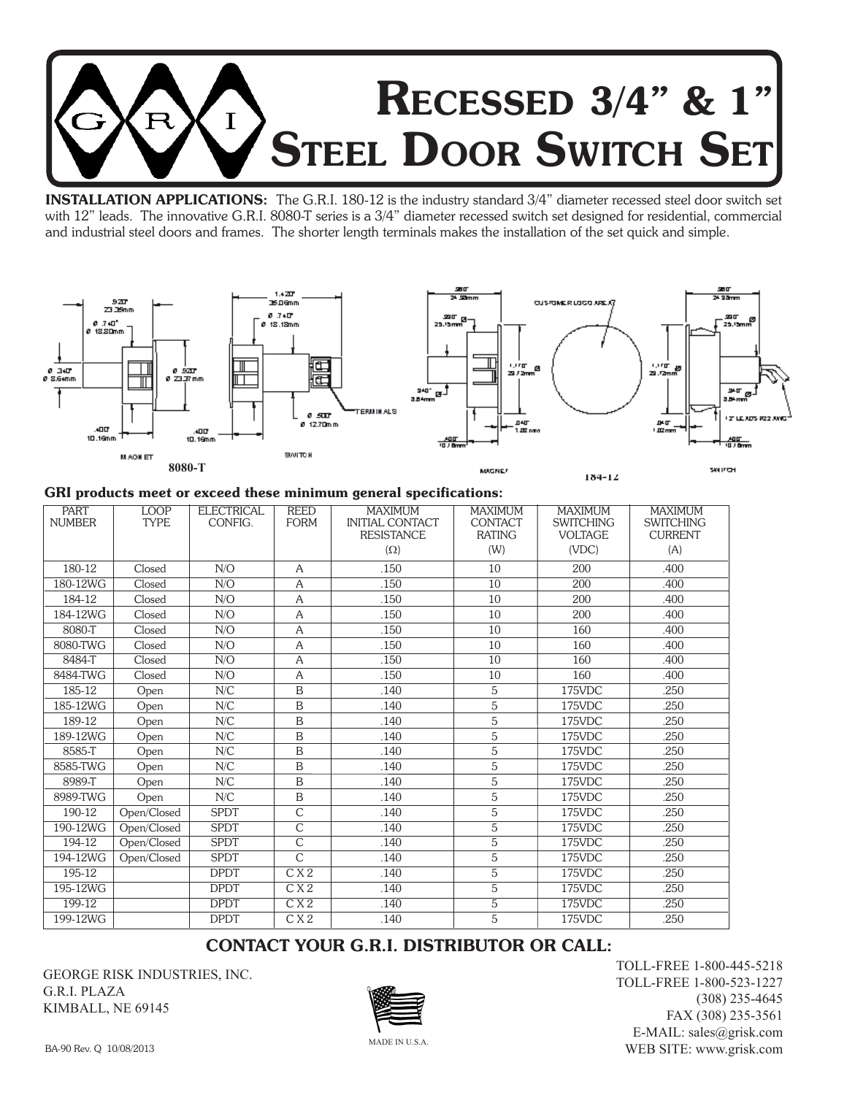

INSTALLATION APPLICATIONS: The G.R.I. 180-12 is the industry standard 3/4" diameter recessed steel door switch set with 12" leads. The innovative G.R.I. 8080-T series is a 3/4" diameter recessed switch set designed for residential, commercial and industrial steel doors and frames. The shorter length terminals makes the installation of the set quick and simple.



#### GRI products meet or exceed these minimum general specifications:

| <b>PART</b><br><b>NUMBER</b> | LOOP<br><b>TYPE</b> | <b>ELECTRICAL</b><br>CONFIG. | <b>REED</b><br><b>FORM</b> | <b>MAXIMUM</b><br><b>INITIAL CONTACT</b> | <b>MAXIMUM</b><br><b>CONTACT</b> | <b>MAXIMUM</b><br><b>SWITCHING</b> | <b>MAXIMUM</b><br><b>SWITCHING</b> |
|------------------------------|---------------------|------------------------------|----------------------------|------------------------------------------|----------------------------------|------------------------------------|------------------------------------|
|                              |                     |                              |                            | <b>RESISTANCE</b>                        | <b>RATING</b>                    | <b>VOLTAGE</b>                     | <b>CURRENT</b>                     |
|                              |                     |                              |                            | $(\Omega)$                               | (W)                              | (VDC)                              | (A)                                |
| 180-12                       | Closed              | N/O                          | $\overline{A}$             | .150                                     | 10                               | 200                                | .400                               |
| 180-12WG                     | Closed              | N/O                          | A                          | .150                                     | 10                               | 200                                | .400                               |
| 184-12                       | Closed              | N/O                          | A                          | .150                                     | 10                               | 200                                | .400                               |
| 184-12WG                     | Closed              | N/O                          | A                          | .150                                     | 10                               | 200                                | .400                               |
| 8080-T                       | Closed              | N/O                          | A                          | .150                                     | 10                               | 160                                | .400                               |
| 8080-TWG                     | Closed              | N/O                          | A                          | .150                                     | 10                               | 160                                | .400                               |
| 8484-T                       | Closed              | N/O                          | A                          | .150                                     | 10                               | 160                                | .400                               |
| 8484-TWG                     | Closed              | N/O                          | A                          | .150                                     | 10                               | 160                                | .400                               |
| 185-12                       | Open                | N/C                          | $\mathbf B$                | .140                                     | 5                                | 175VDC                             | .250                               |
| 185-12WG                     | Open                | N/C                          | B                          | .140                                     | 5                                | 175VDC                             | .250                               |
| 189-12                       | Open                | N/C                          | $\mathbf B$                | .140                                     | 5                                | 175VDC                             | .250                               |
| 189-12WG                     | Open                | N/C                          | $\mathbf B$                | .140                                     | 5                                | 175VDC                             | .250                               |
| 8585-T                       | Open                | N/C                          | B                          | .140                                     | 5                                | 175VDC                             | .250                               |
| 8585-TWG                     | Open                | N/C                          | $\mathbf B$                | .140                                     | 5                                | 175VDC                             | .250                               |
| 8989-T                       | Open                | N/C                          | B                          | .140                                     | 5                                | 175VDC                             | .250                               |
| 8989-TWG                     | Open                | N/C                          | $\mathbf B$                | .140                                     | 5                                | 175VDC                             | .250                               |
| 190-12                       | Open/Closed         | <b>SPDT</b>                  | $\overline{C}$             | .140                                     | $\overline{5}$                   | 175VDC                             | .250                               |
| 190-12WG                     | Open/Closed         | <b>SPDT</b>                  | $\overline{C}$             | .140                                     | 5                                | 175VDC                             | .250                               |
| 194-12                       | Open/Closed         | <b>SPDT</b>                  | $\mathsf{C}$               | .140                                     | 5                                | 175VDC                             | .250                               |
| 194-12WG                     | Open/Closed         | <b>SPDT</b>                  | $\overline{C}$             | .140                                     | 5                                | 175VDC                             | .250                               |
| 195-12                       |                     | <b>DPDT</b>                  | C X 2                      | .140                                     | 5                                | 175VDC                             | .250                               |
| 195-12WG                     |                     | <b>DPDT</b>                  | C X 2                      | .140                                     | 5                                | 175VDC                             | .250                               |
| 199-12                       |                     | <b>DPDT</b>                  | $\overline{CX2}$           | .140                                     | $\overline{5}$                   | $175$ VDC                          | .250                               |
| 199-12WG                     |                     | <b>DPDT</b>                  | C X 2                      | .140                                     | 5                                | 175VDC                             | .250                               |

## CONTACT YOUR G.R.I. DISTRIBUTOR OR CALL:

GEORGE RISK INDUSTRIES, INC. G.R.I. PLAZA KIMBALL, NE 69145



TOLL-FREE 1-800-445-5218 TOLL-FREE 1-800-523-1227 (308) 235-4645 FAX (308) 235-3561 E-MAIL: sales@grisk.com WEB SITE: www.grisk.com